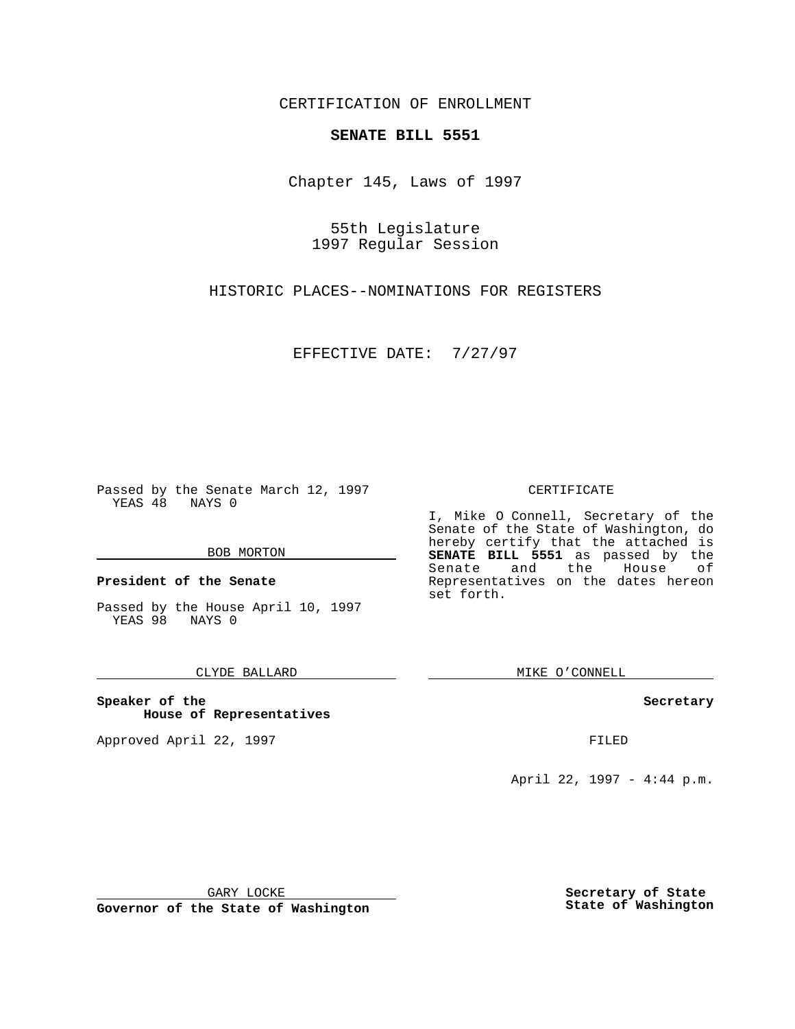CERTIFICATION OF ENROLLMENT

# **SENATE BILL 5551**

Chapter 145, Laws of 1997

55th Legislature 1997 Regular Session

HISTORIC PLACES--NOMINATIONS FOR REGISTERS

EFFECTIVE DATE: 7/27/97

Passed by the Senate March 12, 1997 YEAS 48 NAYS 0

#### BOB MORTON

**President of the Senate**

Passed by the House April 10, 1997 YEAS 98 NAYS 0

### CLYDE BALLARD

**Speaker of the House of Representatives**

Approved April 22, 1997 **FILED** 

#### CERTIFICATE

I, Mike O Connell, Secretary of the Senate of the State of Washington, do hereby certify that the attached is **SENATE BILL 5551** as passed by the Senate and the House of Representatives on the dates hereon set forth.

MIKE O'CONNELL

#### **Secretary**

April 22, 1997 - 4:44 p.m.

GARY LOCKE

**Governor of the State of Washington**

**Secretary of State State of Washington**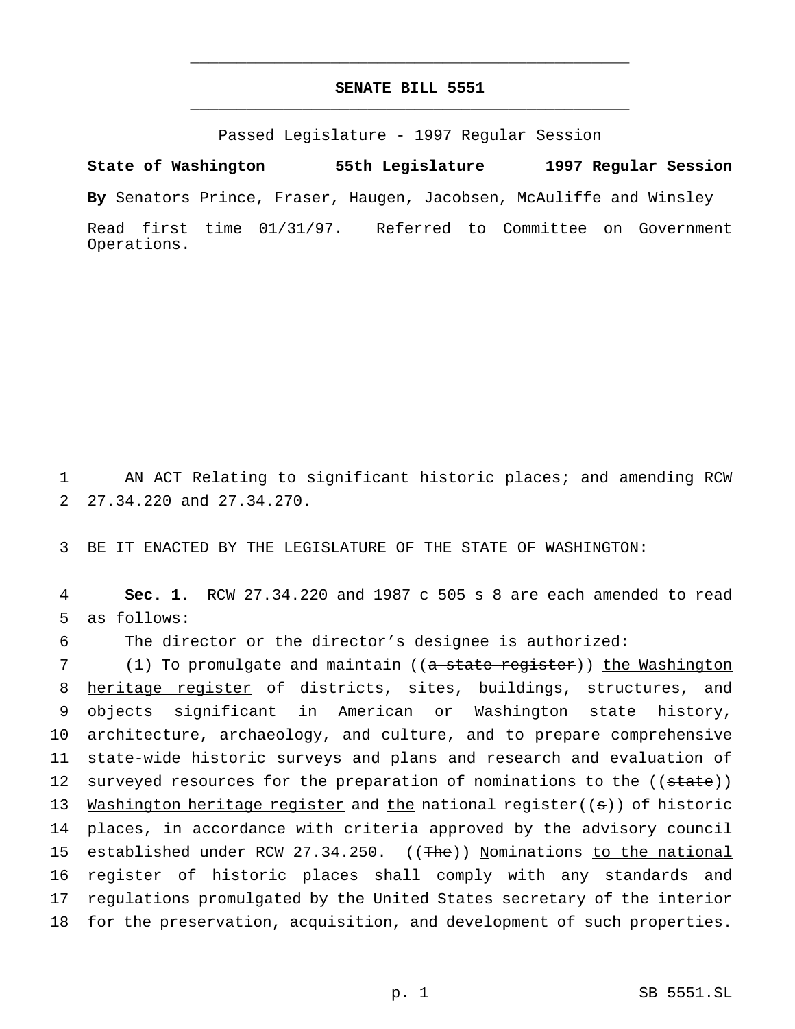## **SENATE BILL 5551** \_\_\_\_\_\_\_\_\_\_\_\_\_\_\_\_\_\_\_\_\_\_\_\_\_\_\_\_\_\_\_\_\_\_\_\_\_\_\_\_\_\_\_\_\_\_\_

\_\_\_\_\_\_\_\_\_\_\_\_\_\_\_\_\_\_\_\_\_\_\_\_\_\_\_\_\_\_\_\_\_\_\_\_\_\_\_\_\_\_\_\_\_\_\_

Passed Legislature - 1997 Regular Session

**State of Washington 55th Legislature 1997 Regular Session**

**By** Senators Prince, Fraser, Haugen, Jacobsen, McAuliffe and Winsley

Read first time 01/31/97. Referred to Committee on Government Operations.

1 AN ACT Relating to significant historic places; and amending RCW 2 27.34.220 and 27.34.270.

3 BE IT ENACTED BY THE LEGISLATURE OF THE STATE OF WASHINGTON:

4 **Sec. 1.** RCW 27.34.220 and 1987 c 505 s 8 are each amended to read 5 as follows:

6 The director or the director's designee is authorized:

7 (1) To promulgate and maintain ((a state register)) the Washington 8 heritage register of districts, sites, buildings, structures, and 9 objects significant in American or Washington state history, 10 architecture, archaeology, and culture, and to prepare comprehensive 11 state-wide historic surveys and plans and research and evaluation of 12 surveyed resources for the preparation of nominations to the ((state)) 13 Washington heritage register and the national register((s)) of historic 14 places, in accordance with criteria approved by the advisory council 15 established under RCW 27.34.250. ((The)) Nominations to the national 16 register of historic places shall comply with any standards and 17 regulations promulgated by the United States secretary of the interior 18 for the preservation, acquisition, and development of such properties.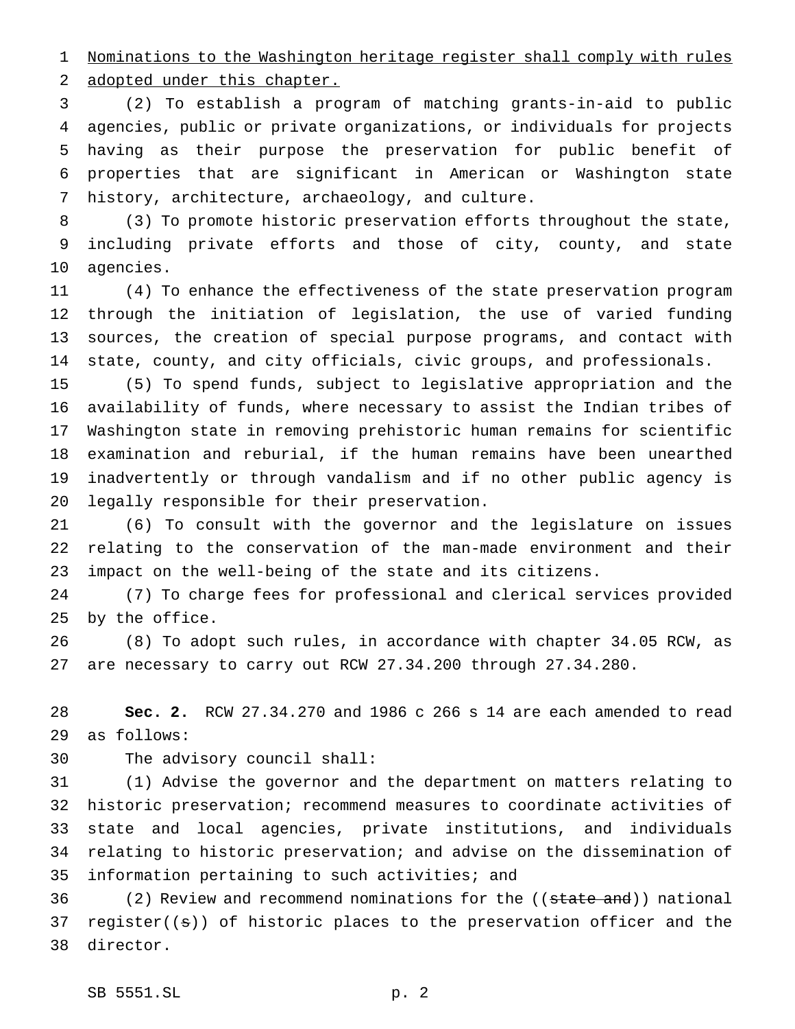Nominations to the Washington heritage register shall comply with rules 2 adopted under this chapter.

 (2) To establish a program of matching grants-in-aid to public agencies, public or private organizations, or individuals for projects having as their purpose the preservation for public benefit of properties that are significant in American or Washington state history, architecture, archaeology, and culture.

 (3) To promote historic preservation efforts throughout the state, including private efforts and those of city, county, and state agencies.

 (4) To enhance the effectiveness of the state preservation program through the initiation of legislation, the use of varied funding sources, the creation of special purpose programs, and contact with state, county, and city officials, civic groups, and professionals.

 (5) To spend funds, subject to legislative appropriation and the availability of funds, where necessary to assist the Indian tribes of Washington state in removing prehistoric human remains for scientific examination and reburial, if the human remains have been unearthed inadvertently or through vandalism and if no other public agency is legally responsible for their preservation.

 (6) To consult with the governor and the legislature on issues relating to the conservation of the man-made environment and their impact on the well-being of the state and its citizens.

 (7) To charge fees for professional and clerical services provided by the office.

 (8) To adopt such rules, in accordance with chapter 34.05 RCW, as are necessary to carry out RCW 27.34.200 through 27.34.280.

 **Sec. 2.** RCW 27.34.270 and 1986 c 266 s 14 are each amended to read as follows:

The advisory council shall:

 (1) Advise the governor and the department on matters relating to historic preservation; recommend measures to coordinate activities of state and local agencies, private institutions, and individuals relating to historic preservation; and advise on the dissemination of information pertaining to such activities; and

36 (2) Review and recommend nominations for the ((state and)) national register((s)) of historic places to the preservation officer and the director.